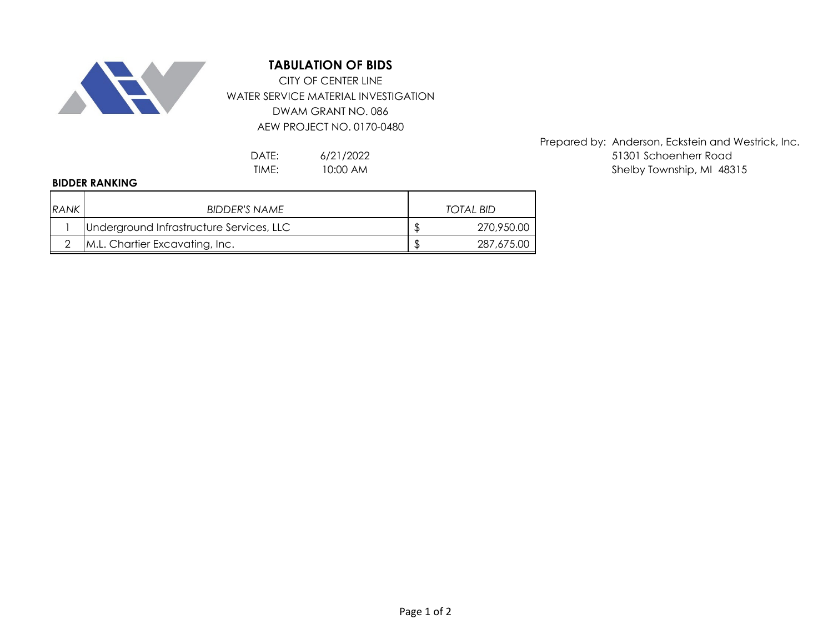

## **TABULATION OF BIDS**

WATER SERVICE MATERIAL INVESTIGATION DWAM GRANT NO. 086 AEW PROJECT NO. 0170-0480 CITY OF CENTER LINE

> 6/21/2022 10:00 AM

## **BIDDER RANKING**

| <b>RANK</b> | BIDDER'S NAME                            | <b>TOTAL BID</b> |
|-------------|------------------------------------------|------------------|
|             | Underground Infrastructure Services, LLC | 270,950.00       |
|             | M.L. Chartier Excavating, Inc.           | 287,675.00       |

Prepared by: Anderson, Eckstein and Westrick, Inc. DATE: 6/21/2022 6/12/2022 51301 Schoenherr Road TIME: 10:00 AM and the state of the shelby Township, MI 48315